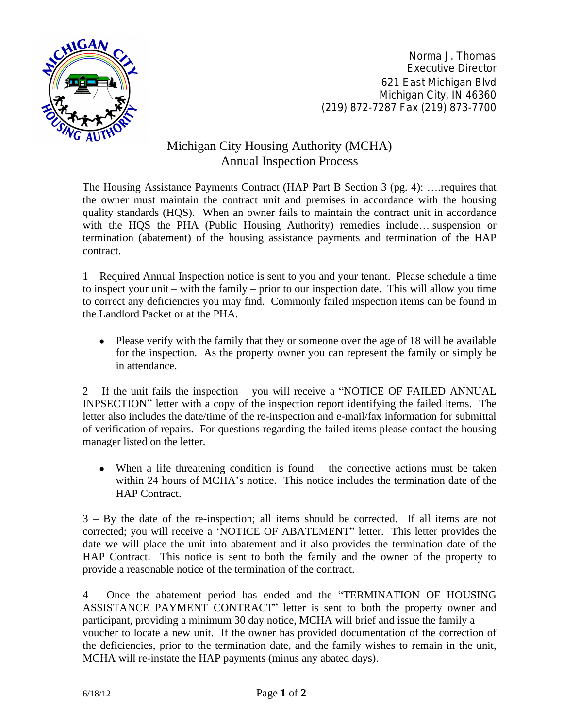

Norma J. Thomas Executive Director 621 East Michigan Blvd Michigan City, IN 46360 (219) 872-7287 Fax (219) 873-7700

## Michigan City Housing Authority (MCHA) Annual Inspection Process

The Housing Assistance Payments Contract (HAP Part B Section 3 (pg. 4): …. requires that the owner must maintain the contract unit and premises in accordance with the housing quality standards (HQS). When an owner fails to maintain the contract unit in accordance with the HQS the PHA (Public Housing Authority) remedies include….suspension or termination (abatement) of the housing assistance payments and termination of the HAP contract.

1 – Required Annual Inspection notice is sent to you and your tenant. Please schedule a time to inspect your unit – with the family – prior to our inspection date. This will allow you time to correct any deficiencies you may find. Commonly failed inspection items can be found in the Landlord Packet or at the PHA.

• Please verify with the family that they or someone over the age of 18 will be available for the inspection. As the property owner you can represent the family or simply be in attendance.

2 – If the unit fails the inspection – you will receive a "NOTICE OF FAILED ANNUAL INPSECTION" letter with a copy of the inspection report identifying the failed items. The letter also includes the date/time of the re-inspection and e-mail/fax information for submittal of verification of repairs. For questions regarding the failed items please contact the housing manager listed on the letter.

• When a life threatening condition is found – the corrective actions must be taken within 24 hours of MCHA's notice. This notice includes the termination date of the HAP Contract.

3 – By the date of the re-inspection; all items should be corrected. If all items are not corrected; you will receive a 'NOTICE OF ABATEMENT" letter. This letter provides the date we will place the unit into abatement and it also provides the termination date of the HAP Contract. This notice is sent to both the family and the owner of the property to provide a reasonable notice of the termination of the contract.

4 – Once the abatement period has ended and the "TERMINATION OF HOUSING ASSISTANCE PAYMENT CONTRACT" letter is sent to both the property owner and participant, providing a minimum 30 day notice, MCHA will brief and issue the family a voucher to locate a new unit. If the owner has provided documentation of the correction of the deficiencies, prior to the termination date, and the family wishes to remain in the unit, MCHA will re-instate the HAP payments (minus any abated days).